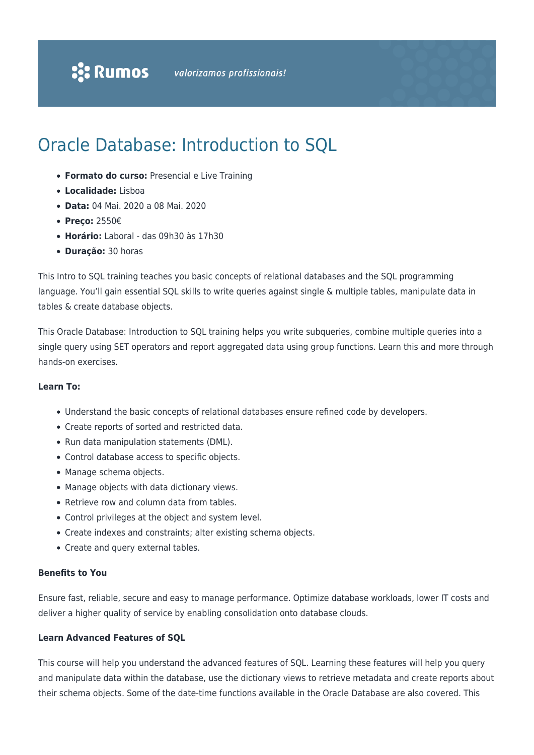# Oracle Database: Introduction to SQL

- **Formato do curso:** Presencial e Live Training
- **Localidade:** Lisboa
- **Data:** 04 Mai. 2020 a 08 Mai. 2020
- **Preço:** 2550€
- **Horário:** Laboral das 09h30 às 17h30
- **Duração:** 30 horas

This Intro to SQL training teaches you basic concepts of relational databases and the SQL programming language. You'll gain essential SQL skills to write queries against single & multiple tables, manipulate data in tables & create database objects.

This Oracle Database: Introduction to SQL training helps you write subqueries, combine multiple queries into a single query using SET operators and report aggregated data using group functions. Learn this and more through hands-on exercises.

#### **Learn To:**

- Understand the basic concepts of relational databases ensure refined code by developers.
- Create reports of sorted and restricted data.
- Run data manipulation statements (DML).
- Control database access to specific objects.
- Manage schema objects.
- Manage objects with data dictionary views.
- Retrieve row and column data from tables.
- Control privileges at the object and system level.
- Create indexes and constraints; alter existing schema objects.
- Create and query external tables.

#### **Benefits to You**

Ensure fast, reliable, secure and easy to manage performance. Optimize database workloads, lower IT costs and deliver a higher quality of service by enabling consolidation onto database clouds.

#### **Learn Advanced Features of SQL**

This course will help you understand the advanced features of SQL. Learning these features will help you query and manipulate data within the database, use the dictionary views to retrieve metadata and create reports about their schema objects. Some of the date-time functions available in the Oracle Database are also covered. This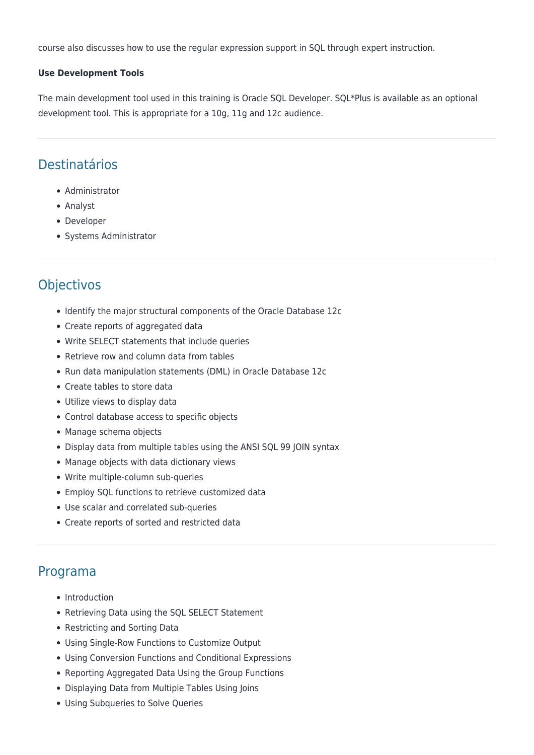course also discusses how to use the regular expression support in SQL through expert instruction.

#### **Use Development Tools**

The main development tool used in this training is Oracle SQL Developer. SQL\*Plus is available as an optional development tool. This is appropriate for a 10g, 11g and 12c audience.

## Destinatários

- Administrator
- Analyst
- Developer
- Systems Administrator

## **Objectivos**

- Identify the major structural components of the Oracle Database 12c
- Create reports of aggregated data
- Write SELECT statements that include queries
- Retrieve row and column data from tables
- Run data manipulation statements (DML) in Oracle Database 12c
- Create tables to store data
- Utilize views to display data
- Control database access to specific objects
- Manage schema objects
- Display data from multiple tables using the ANSI SQL 99 JOIN syntax
- Manage objects with data dictionary views
- Write multiple-column sub-queries
- Employ SQL functions to retrieve customized data
- Use scalar and correlated sub-queries
- Create reports of sorted and restricted data

### Programa

- Introduction
- Retrieving Data using the SQL SELECT Statement
- Restricting and Sorting Data
- Using Single-Row Functions to Customize Output
- Using Conversion Functions and Conditional Expressions
- Reporting Aggregated Data Using the Group Functions
- Displaying Data from Multiple Tables Using Joins
- Using Subqueries to Solve Queries